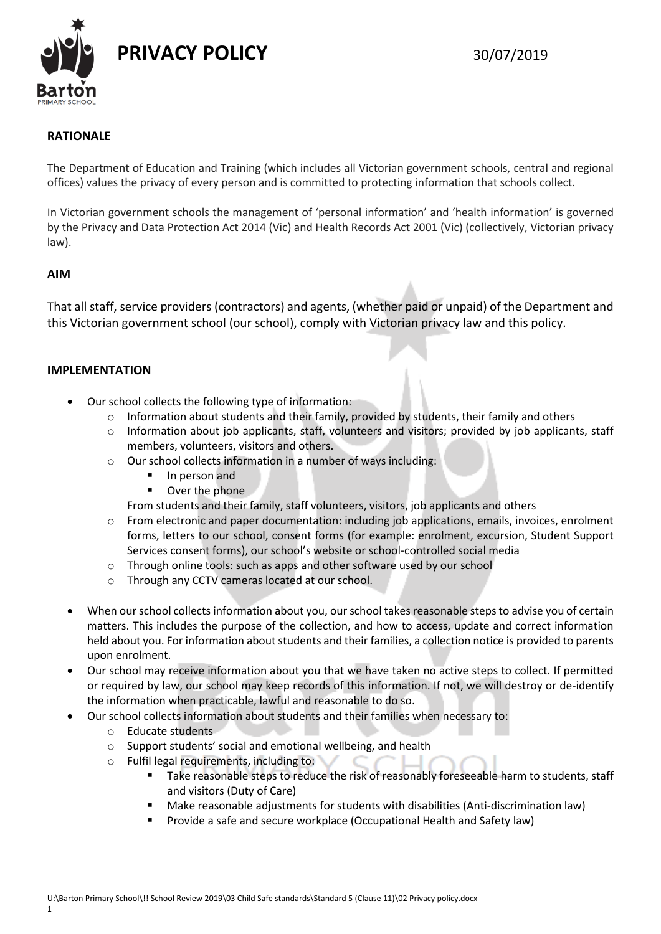

# **RATIONALE**

The Department of Education and Training (which includes all Victorian government schools, central and regional offices) values the privacy of every person and is committed to protecting information that schools collect.

In Victorian government schools the management of 'personal information' and 'health information' is governed by the Privacy and Data Protection Act 2014 (Vic) and Health Records Act 2001 (Vic) (collectively, Victorian privacy law).

# **AIM**

That all staff, service providers (contractors) and agents, (whether paid or unpaid) of the Department and this Victorian government school (our school), comply with Victorian privacy law and this policy.

### **IMPLEMENTATION**

- Our school collects the following type of information:
	- $\circ$  Information about students and their family, provided by students, their family and others
	- $\circ$  Information about job applicants, staff, volunteers and visitors; provided by job applicants, staff members, volunteers, visitors and others.
	- o Our school collects information in a number of ways including:
		- In person and
		- **•** Over the phone
		- From students and their family, staff volunteers, visitors, job applicants and others
	- o From electronic and paper documentation: including job applications, emails, invoices, enrolment forms, letters to our school, consent forms (for example: enrolment, excursion, Student Support Services consent forms), our school's website or school-controlled social media
	- o Through online tools: such as apps and other software used by our school
	- o Through any CCTV cameras located at our school.
- When our school collects information about you, our school takes reasonable steps to advise you of certain matters. This includes the purpose of the collection, and how to access, update and correct information held about you. For information about students and their families, a collection notice is provided to parents upon enrolment.
- Our school may receive information about you that we have taken no active steps to collect. If permitted or required by law, our school may keep records of this information. If not, we will destroy or de-identify the information when practicable, lawful and reasonable to do so.
- Our school collects information about students and their families when necessary to:
	- o Educate students
	- o Support students' social and emotional wellbeing, and health
	- o Fulfil legal requirements, including to:
		- Take reasonable steps to reduce the risk of reasonably foreseeable harm to students, staff and visitors (Duty of Care)
		- Make reasonable adjustments for students with disabilities (Anti-discrimination law)
		- Provide a safe and secure workplace (Occupational Health and Safety law)

1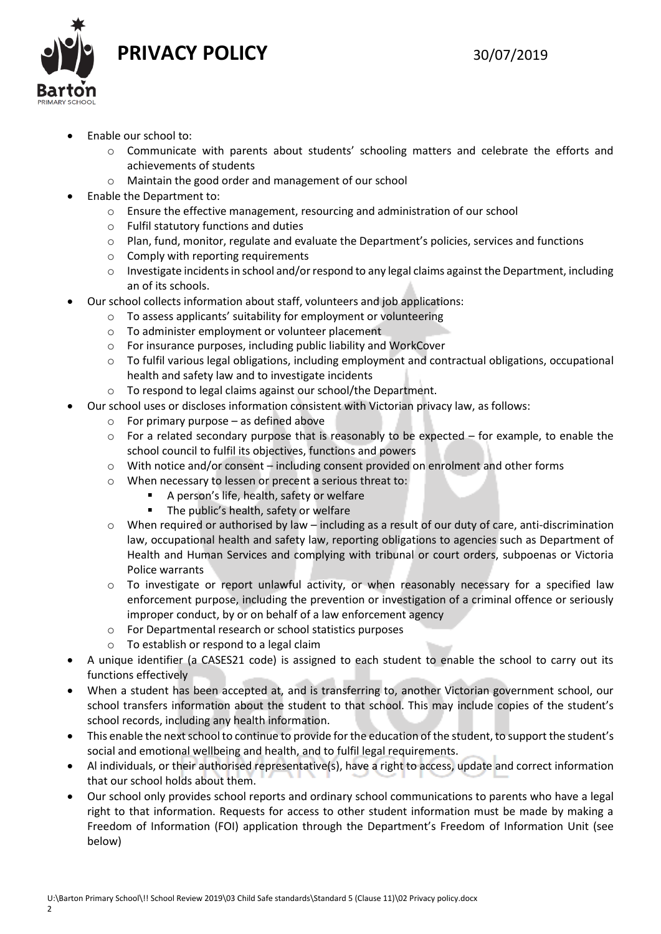**PRIVACY POLICY** 30/07/2019



- Enable our school to:
	- o Communicate with parents about students' schooling matters and celebrate the efforts and achievements of students
	- o Maintain the good order and management of our school
- Enable the Department to:
	- o Ensure the effective management, resourcing and administration of our school
	- o Fulfil statutory functions and duties
	- o Plan, fund, monitor, regulate and evaluate the Department's policies, services and functions
	- o Comply with reporting requirements
	- o Investigate incidents in school and/or respond to any legal claims against the Department, including an of its schools.
- Our school collects information about staff, volunteers and job applications:
	- o To assess applicants' suitability for employment or volunteering
	- o To administer employment or volunteer placement
	- o For insurance purposes, including public liability and WorkCover
	- o To fulfil various legal obligations, including employment and contractual obligations, occupational health and safety law and to investigate incidents
	- o To respond to legal claims against our school/the Department.
	- Our school uses or discloses information consistent with Victorian privacy law, as follows:
		- $\circ$  For primary purpose as defined above
		- $\circ$  For a related secondary purpose that is reasonably to be expected for example, to enable the school council to fulfil its objectives, functions and powers
		- o With notice and/or consent including consent provided on enrolment and other forms
		- o When necessary to lessen or precent a serious threat to:
			- A person's life, health, safety or welfare
			- The public's health, safety or welfare
		- $\circ$  When required or authorised by law including as a result of our duty of care, anti-discrimination law, occupational health and safety law, reporting obligations to agencies such as Department of Health and Human Services and complying with tribunal or court orders, subpoenas or Victoria Police warrants
		- o To investigate or report unlawful activity, or when reasonably necessary for a specified law enforcement purpose, including the prevention or investigation of a criminal offence or seriously improper conduct, by or on behalf of a law enforcement agency
		- o For Departmental research or school statistics purposes
		- o To establish or respond to a legal claim
- A unique identifier (a CASES21 code) is assigned to each student to enable the school to carry out its functions effectively
- When a student has been accepted at, and is transferring to, another Victorian government school, our school transfers information about the student to that school. This may include copies of the student's school records, including any health information.
- This enable the next school to continue to provide for the education of the student, to support the student's social and emotional wellbeing and health, and to fulfil legal requirements.
- Al individuals, or their authorised representative(s), have a right to access, update and correct information that our school holds about them.
- Our school only provides school reports and ordinary school communications to parents who have a legal right to that information. Requests for access to other student information must be made by making a Freedom of Information (FOI) application through the Department's Freedom of Information Unit (see below)

 $\overline{\phantom{0}}$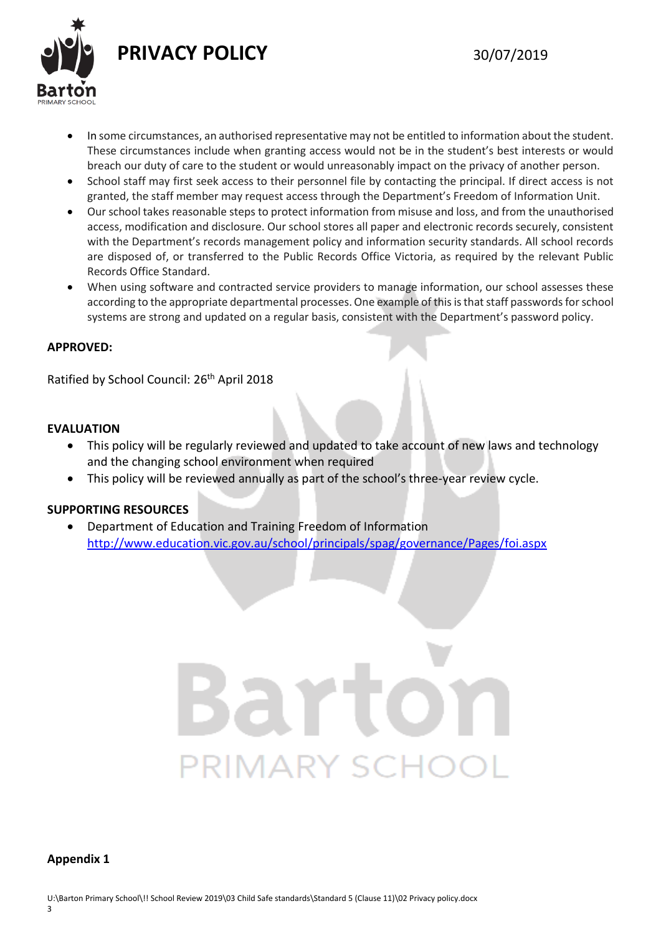

- 
- In some circumstances, an authorised representative may not be entitled to information about the student. These circumstances include when granting access would not be in the student's best interests or would breach our duty of care to the student or would unreasonably impact on the privacy of another person.
- School staff may first seek access to their personnel file by contacting the principal. If direct access is not granted, the staff member may request access through the Department's Freedom of Information Unit.
- Our school takes reasonable steps to protect information from misuse and loss, and from the unauthorised access, modification and disclosure. Our school stores all paper and electronic records securely, consistent with the Department's records management policy and information security standards. All school records are disposed of, or transferred to the Public Records Office Victoria, as required by the relevant Public Records Office Standard.
- When using software and contracted service providers to manage information, our school assesses these according to the appropriate departmental processes. One example of this is that staff passwords for school systems are strong and updated on a regular basis, consistent with the Department's password policy.

# **APPROVED:**

Ratified by School Council: 26<sup>th</sup> April 2018

# **EVALUATION**

- This policy will be regularly reviewed and updated to take account of new laws and technology and the changing school environment when required
- This policy will be reviewed annually as part of the school's three-year review cycle.

# **SUPPORTING RESOURCES**

 Department of Education and Training Freedom of Information <http://www.education.vic.gov.au/school/principals/spag/governance/Pages/foi.aspx>

# PRIMARY SCHC

### **Appendix 1**